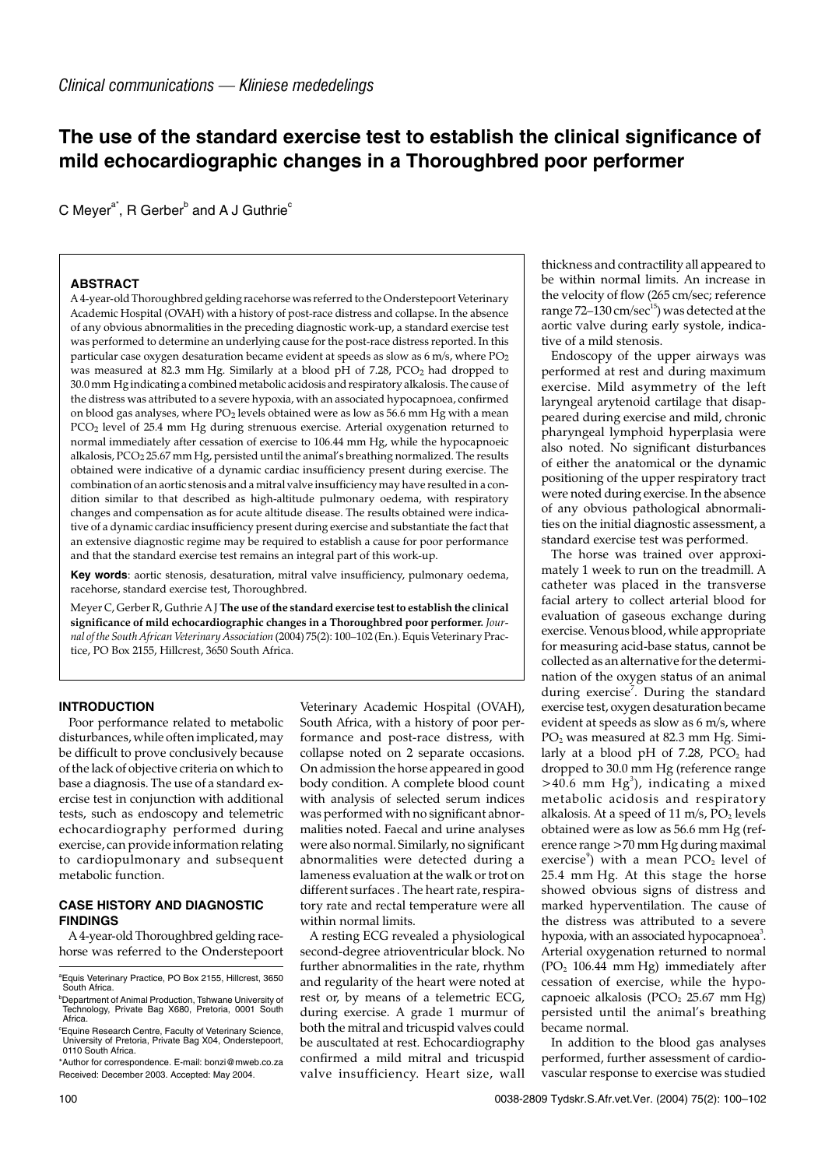# **The use of the standard exercise test to establish the clinical significance of mild echocardiographic changes in a Thoroughbred poor performer**

C Meyer $a^*$ , R Gerber<sup>b</sup> and A J Guthrie<sup>c</sup>

### **ABSTRACT**

A 4-year-old Thoroughbred gelding racehorse was referred to the Onderstepoort Veterinary Academic Hospital (OVAH) with a history of post-race distress and collapse. In the absence of any obvious abnormalities in the preceding diagnostic work-up, a standard exercise test was performed to determine an underlying cause for the post-race distress reported. In this particular case oxygen desaturation became evident at speeds as slow as 6 m/s, where PO2 was measured at 82.3 mm Hg. Similarly at a blood pH of 7.28, PCO<sub>2</sub> had dropped to 30.0 mm Hg indicating a combined metabolic acidosis and respiratory alkalosis. The cause of the distress was attributed to a severe hypoxia, with an associated hypocapnoea, confirmed on blood gas analyses, where PO2 levels obtained were as low as 56.6 mm Hg with a mean PCO2 level of 25.4 mm Hg during strenuous exercise. Arterial oxygenation returned to normal immediately after cessation of exercise to 106.44 mm Hg, while the hypocapnoeic alkalosis, PCO<sub>2</sub> 25.67 mm Hg, persisted until the animal's breathing normalized. The results obtained were indicative of a dynamic cardiac insufficiency present during exercise. The combination of an aortic stenosis and a mitral valve insufficiency may have resulted in a condition similar to that described as high-altitude pulmonary oedema, with respiratory changes and compensation as for acute altitude disease. The results obtained were indicative of a dynamic cardiac insufficiency present during exercise and substantiate the fact that an extensive diagnostic regime may be required to establish a cause for poor performance and that the standard exercise test remains an integral part of this work-up.

**Key words**: aortic stenosis, desaturation, mitral valve insufficiency, pulmonary oedema, racehorse, standard exercise test, Thoroughbred.

Meyer C, Gerber R, Guthrie A J **The use of the standard exercise test to establish the clinical significance of mild echocardiographic changes in a Thoroughbred poor performer.** *Journal of the South African Veterinary Association* (2004) 75(2): 100–102 (En.). Equis Veterinary Practice, PO Box 2155, Hillcrest, 3650 South Africa.

## **INTRODUCTION**

Poor performance related to metabolic disturbances, while often implicated, may be difficult to prove conclusively because of the lack of objective criteria on which to base a diagnosis. The use of a standard exercise test in conjunction with additional tests, such as endoscopy and telemetric echocardiography performed during exercise, can provide information relating to cardiopulmonary and subsequent metabolic function.

## **CASE HISTORY AND DIAGNOSTIC FINDINGS**

A 4-year-old Thoroughbred gelding racehorse was referred to the Onderstepoort Veterinary Academic Hospital (OVAH), South Africa, with a history of poor performance and post-race distress, with collapse noted on 2 separate occasions. On admission the horse appeared in good body condition. A complete blood count with analysis of selected serum indices was performed with no significant abnormalities noted. Faecal and urine analyses were also normal. Similarly, no significant abnormalities were detected during a lameness evaluation at the walk or trot on different surfaces . The heart rate, respiratory rate and rectal temperature were all within normal limits.

A resting ECG revealed a physiological second-degree atrioventricular block. No further abnormalities in the rate, rhythm and regularity of the heart were noted at rest or, by means of a telemetric ECG, during exercise. A grade 1 murmur of both the mitral and tricuspid valves could be auscultated at rest. Echocardiography confirmed a mild mitral and tricuspid valve insufficiency. Heart size, wall

thickness and contractility all appeared to be within normal limits. An increase in the velocity of flow (265 cm/sec; reference range  $72-130$  cm/sec<sup>15</sup>) was detected at the aortic valve during early systole, indicative of a mild stenosis.

Endoscopy of the upper airways was performed at rest and during maximum exercise. Mild asymmetry of the left laryngeal arytenoid cartilage that disappeared during exercise and mild, chronic pharyngeal lymphoid hyperplasia were also noted. No significant disturbances of either the anatomical or the dynamic positioning of the upper respiratory tract were noted during exercise. In the absence of any obvious pathological abnormalities on the initial diagnostic assessment, a standard exercise test was performed.

The horse was trained over approximately 1 week to run on the treadmill. A catheter was placed in the transverse facial artery to collect arterial blood for evaluation of gaseous exchange during exercise. Venous blood, while appropriate for measuring acid-base status, cannot be collected as an alternative for the determination of the oxygen status of an animal during exercise<sup>7</sup>. During the standard exercise test, oxygen desaturation became evident at speeds as slow as 6 m/s, where PO2 was measured at 82.3 mm Hg. Similarly at a blood pH of 7.28,  $\overline{PCO}_2$  had dropped to 30.0 mm Hg (reference range  $>$ 40.6 mm Hg<sup>3</sup>), indicating a mixed metabolic acidosis and respiratory alkalosis. At a speed of 11 m/s,  $\overline{PO_2}$  levels obtained were as low as 56.6 mm Hg (reference range >70 mm Hg during maximal exercise $^9$ ) with a mean PCO $_2$  level of 25.4 mm Hg. At this stage the horse showed obvious signs of distress and marked hyperventilation. The cause of the distress was attributed to a severe hypoxia, with an associated hypocapnoea<sup>3</sup>. Arterial oxygenation returned to normal  $(PO<sub>2</sub> 106.44 mm Hg) immediately after$ cessation of exercise, while the hypocapnoeic alkalosis (PCO<sub>2</sub> 25.67 mm Hg) persisted until the animal's breathing became normal.

In addition to the blood gas analyses performed, further assessment of cardiovascular response to exercise was studied

a Equis Veterinary Practice, PO Box 2155, Hillcrest, 3650 South Africa.

b Department of Animal Production, Tshwane University of Technology, Private Bag X680, Pretoria, 0001 South Africa.

c Equine Research Centre, Faculty of Veterinary Science, University of Pretoria, Private Bag X04, Onderstepoort, 0110 South Africa.

<sup>\*</sup>Author for correspondence. E-mail: bonzi@mweb.co.za Received: December 2003. Accepted: May 2004.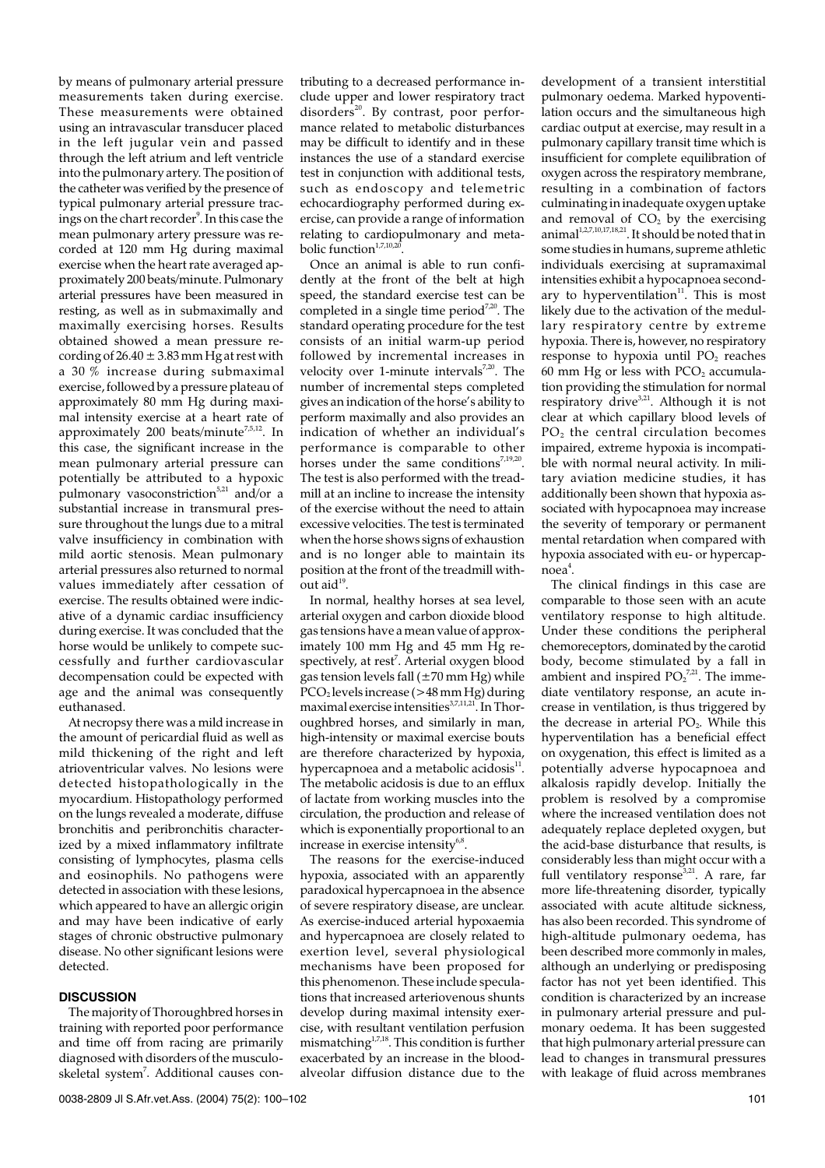by means of pulmonary arterial pressure measurements taken during exercise. These measurements were obtained using an intravascular transducer placed in the left jugular vein and passed through the left atrium and left ventricle into the pulmonary artery. The position of the catheter was verified by the presence of typical pulmonary arterial pressure tracings on the chart recorder<sup>9</sup>. In this case the mean pulmonary artery pressure was recorded at 120 mm Hg during maximal exercise when the heart rate averaged approximately 200 beats/minute. Pulmonary arterial pressures have been measured in resting, as well as in submaximally and maximally exercising horses. Results obtained showed a mean pressure recording of  $26.40 \pm 3.83$  mm Hg at rest with a 30 % increase during submaximal exercise, followed by a pressure plateau of approximately 80 mm Hg during maximal intensity exercise at a heart rate of approximately 200 beats/minute<sup>7,5,12</sup>. In this case, the significant increase in the mean pulmonary arterial pressure can potentially be attributed to a hypoxic pulmonary vasoconstriction<sup>5,21</sup> and/or a substantial increase in transmural pressure throughout the lungs due to a mitral valve insufficiency in combination with mild aortic stenosis. Mean pulmonary arterial pressures also returned to normal values immediately after cessation of exercise. The results obtained were indicative of a dynamic cardiac insufficiency during exercise. It was concluded that the horse would be unlikely to compete successfully and further cardiovascular decompensation could be expected with age and the animal was consequently euthanased.

At necropsy there was a mild increase in the amount of pericardial fluid as well as mild thickening of the right and left atrioventricular valves. No lesions were detected histopathologically in the myocardium. Histopathology performed on the lungs revealed a moderate, diffuse bronchitis and peribronchitis characterized by a mixed inflammatory infiltrate consisting of lymphocytes, plasma cells and eosinophils. No pathogens were detected in association with these lesions, which appeared to have an allergic origin and may have been indicative of early stages of chronic obstructive pulmonary disease. No other significant lesions were detected.

#### **DISCUSSION**

The majority of Thoroughbred horses in training with reported poor performance and time off from racing are primarily diagnosed with disorders of the musculoskeletal system<sup>7</sup>. Additional causes contributing to a decreased performance include upper and lower respiratory tract disorders $^{20}$ . By contrast, poor performance related to metabolic disturbances may be difficult to identify and in these instances the use of a standard exercise test in conjunction with additional tests, such as endoscopy and telemetric echocardiography performed during exercise, can provide a range of information relating to cardiopulmonary and metabolic function $1,7,10,20$ 

Once an animal is able to run confidently at the front of the belt at high speed, the standard exercise test can be completed in a single time period<sup>7,20</sup>. The standard operating procedure for the test consists of an initial warm-up period followed by incremental increases in velocity over 1-minute intervals $7,20$ . The number of incremental steps completed gives an indication of the horse's ability to perform maximally and also provides an indication of whether an individual's performance is comparable to other horses under the same conditions<sup>7,19,20</sup>. The test is also performed with the treadmill at an incline to increase the intensity of the exercise without the need to attain excessive velocities. The test is terminated when the horse shows signs of exhaustion and is no longer able to maintain its position at the front of the treadmill without aid $19$ .

In normal, healthy horses at sea level, arterial oxygen and carbon dioxide blood gas tensions have a mean value of approximately 100 mm Hg and 45 mm Hg respectively, at rest<sup>7</sup>. Arterial oxygen blood gas tension levels fall  $(\pm 70 \text{ mm Hg})$  while  $PCO<sub>2</sub>$  levels increase (>48 mm Hg) during maximal exercise intensities<sup>3,7,11,21</sup>. In Thoroughbred horses, and similarly in man, high-intensity or maximal exercise bouts are therefore characterized by hypoxia, hypercapnoea and a metabolic acidosis<sup>11</sup>. The metabolic acidosis is due to an efflux of lactate from working muscles into the circulation, the production and release of which is exponentially proportional to an increase in exercise intensity $6.8$ .

The reasons for the exercise-induced hypoxia, associated with an apparently paradoxical hypercapnoea in the absence of severe respiratory disease, are unclear. As exercise-induced arterial hypoxaemia and hypercapnoea are closely related to exertion level, several physiological mechanisms have been proposed for this phenomenon. These include speculations that increased arteriovenous shunts develop during maximal intensity exercise, with resultant ventilation perfusion mismatching $^{1,7,18}$ . This condition is further exacerbated by an increase in the bloodalveolar diffusion distance due to the

development of a transient interstitial pulmonary oedema. Marked hypoventilation occurs and the simultaneous high cardiac output at exercise, may result in a pulmonary capillary transit time which is insufficient for complete equilibration of oxygen across the respiratory membrane, resulting in a combination of factors culminating in inadequate oxygen uptake and removal of  $CO<sub>2</sub>$  by the exercising animal<sup>1,2,7,10,17,18,21</sup>. It should be noted that in some studies in humans, supreme athletic individuals exercising at supramaximal intensities exhibit a hypocapnoea secondary to hyperventilation<sup>11</sup>. This is most likely due to the activation of the medullary respiratory centre by extreme hypoxia. There is, however, no respiratory response to hypoxia until  $PO<sub>2</sub>$  reaches  $60$  mm Hg or less with PCO<sub>2</sub> accumulation providing the stimulation for normal respiratory drive<sup>3,21</sup>. Although it is not clear at which capillary blood levels of  $PO<sub>2</sub>$  the central circulation becomes impaired, extreme hypoxia is incompatible with normal neural activity. In military aviation medicine studies, it has additionally been shown that hypoxia associated with hypocapnoea may increase the severity of temporary or permanent mental retardation when compared with hypoxia associated with eu- or hypercapnoea<sup>4</sup>.

The clinical findings in this case are comparable to those seen with an acute ventilatory response to high altitude. Under these conditions the peripheral chemoreceptors, dominated by the carotid body, become stimulated by a fall in ambient and inspired  $PO<sub>2</sub><sup>7,21</sup>$ . The immediate ventilatory response, an acute increase in ventilation, is thus triggered by the decrease in arterial  $PO<sub>2</sub>$ . While this hyperventilation has a beneficial effect on oxygenation, this effect is limited as a potentially adverse hypocapnoea and alkalosis rapidly develop. Initially the problem is resolved by a compromise where the increased ventilation does not adequately replace depleted oxygen, but the acid-base disturbance that results, is considerably less than might occur with a full ventilatory response<sup>3,21</sup>. A rare, far more life-threatening disorder, typically associated with acute altitude sickness, has also been recorded. This syndrome of high-altitude pulmonary oedema, has been described more commonly in males, although an underlying or predisposing factor has not yet been identified. This condition is characterized by an increase in pulmonary arterial pressure and pulmonary oedema. It has been suggested that high pulmonary arterial pressure can lead to changes in transmural pressures with leakage of fluid across membranes